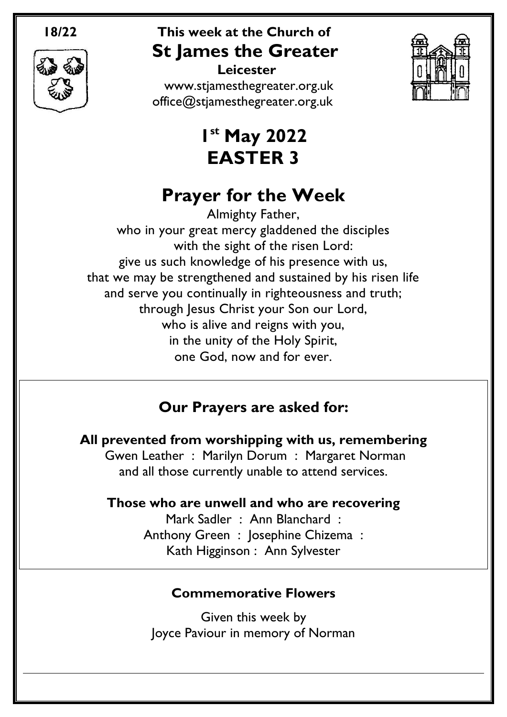

#### **18/22 This week at the Church of St James the Greater Leicester**

[www.stjamesthegreater.org.uk](http://www.stjamesthegreater.org.uk/) [office@stjamesthegreater.org.uk](mailto:office@stjamesthegreater.org.uk)

# **1 st May 2022 EASTER 3**

# **Prayer for the Week**

Almighty Father, who in your great mercy gladdened the disciples with the sight of the risen Lord: give us such knowledge of his presence with us, that we may be strengthened and sustained by his risen life and serve you continually in righteousness and truth; through Jesus Christ your Son our Lord, who is alive and reigns with you, in the unity of the Holy Spirit, one God, now and for ever.

### **Our Prayers are asked for:**

**All prevented from worshipping with us, remembering** Gwen Leather : Marilyn Dorum : Margaret Norman and all those currently unable to attend services.

### **Those who are unwell and who are recovering**

Mark Sadler : Ann Blanchard : Anthony Green : Josephine Chizema : Kath Higginson : Ann Sylvester

#### **Commemorative Flowers**

Given this week by Joyce Paviour in memory of Norman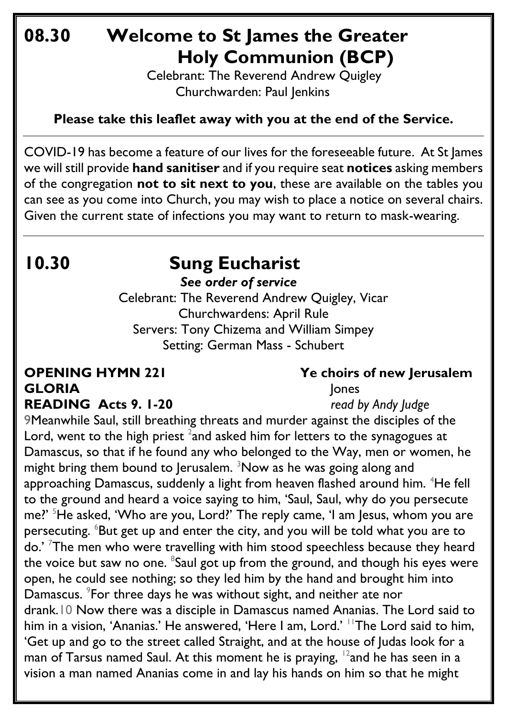## **08.30 Welcome to St James the Greater Holy Communion (BCP)**

Celebrant: The Reverend Andrew Quigley Churchwarden: Paul Jenkins

#### **Please take this leaflet away with you at the end of the Service.**

COVID-19 has become a feature of our lives for the foreseeable future. At St James we will still provide **hand sanitiser** and if you require seat **notices** asking members of the congregation **not to sit next to you**, these are available on the tables you can see as you come into Church, you may wish to place a notice on several chairs. Given the current state of infections you may want to return to mask-wearing.

# **10.30 Sung Eucharist**

*See order of service*

Celebrant: The Reverend Andrew Quigley, Vicar Churchwardens: April Rule Servers: Tony Chizema and William Simpey Setting: German Mass - Schubert

# **GLORIA Jones GLORIA Jones READING Acts 9. 1-20** *read by Andy Judge*

#### **OPENING HYMN 221 Ye choirs of new Jerusalem**

9Meanwhile Saul, still breathing threats and murder against the disciples of the Lord, went to the high priest  $^2$ and asked him for letters to the synagogues at Damascus, so that if he found any who belonged to the Way, men or women, he might bring them bound to Jerusalem. <sup>3</sup>Now as he was going along and approaching Damascus, suddenly a light from heaven flashed around him. <sup>4</sup>He fell to the ground and heard a voice saying to him, 'Saul, Saul, why do you persecute me?' <sup>5</sup>He asked, 'Who are you, Lord?' The reply came, 'I am Jesus, whom you are persecuting. <sup>6</sup>But get up and enter the city, and you will be told what you are to do.' <sup>7</sup>The men who were travelling with him stood speechless because they heard the voice but saw no one.  $^8$ Saul got up from the ground, and though his eyes were

open, he could see nothing; so they led him by the hand and brought him into Damascus. <sup>9</sup>For three days he was without sight, and neither ate nor

drank.10 Now there was a disciple in Damascus named Ananias. The Lord said to him in a vision, 'Ananias.' He answered, 'Here I am, Lord.' <sup>11</sup>The Lord said to him, 'Get up and go to the street called Straight, and at the house of Judas look for a man of Tarsus named Saul. At this moment he is praying,  $12$  and he has seen in a vision a man named Ananias come in and lay his hands on him so that he might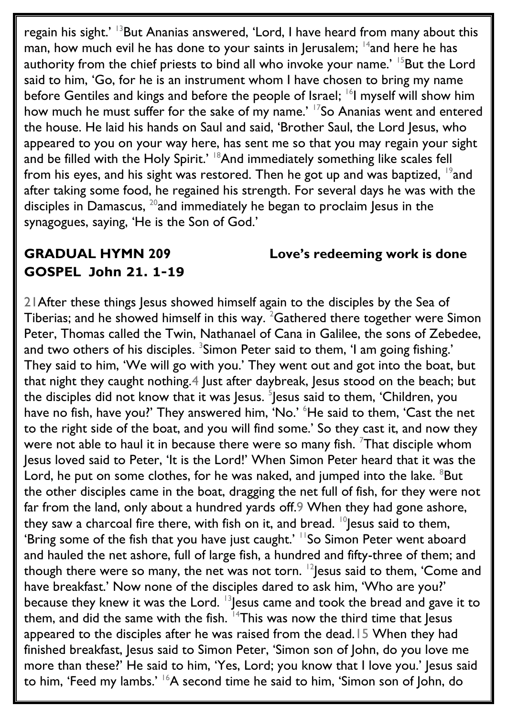regain his sight.' <sup>13</sup>But Ananias answered, 'Lord, I have heard from many about this man, how much evil he has done to your saints in Jerusalem;  $14$  and here he has authority from the chief priests to bind all who invoke your name.'  $15$ But the Lord said to him, 'Go, for he is an instrument whom I have chosen to bring my name before Gentiles and kings and before the people of Israel; <sup>16</sup>I myself will show him how much he must suffer for the sake of my name.' <sup>17</sup>So Ananias went and entered the house. He laid his hands on Saul and said, 'Brother Saul, the Lord Jesus, who appeared to you on your way here, has sent me so that you may regain your sight and be filled with the Holy Spirit.' <sup>18</sup>And immediately something like scales fell from his eyes, and his sight was restored. Then he got up and was baptized,  $19$  and after taking some food, he regained his strength. For several days he was with the disciples in Damascus,  $20$  and immediately he began to proclaim Jesus in the synagogues, saying, 'He is the Son of God.'

# **GOSPEL John 21. 1-19**

**GRADUAL HYMN 209 Love's redeeming work is done**

21After these things Jesus showed himself again to the disciples by the Sea of Tiberias; and he showed himself in this way. <sup>2</sup>Gathered there together were Simon Peter, Thomas called the Twin, Nathanael of Cana in Galilee, the sons of Zebedee, and two others of his disciples.  ${}^{3}$ Simon Peter said to them, 'I am going fishing.' They said to him, 'We will go with you.' They went out and got into the boat, but that night they caught nothing.4 Just after daybreak, Jesus stood on the beach; but the disciples did not know that it was Jesus. <sup>5</sup>Jesus said to them, 'Children, you have no fish, have you?' They answered him, 'No.' <sup>6</sup>He said to them, 'Cast the net to the right side of the boat, and you will find some.' So they cast it, and now they were not able to haul it in because there were so many fish.  $7$ That disciple whom Jesus loved said to Peter, 'It is the Lord!' When Simon Peter heard that it was the Lord, he put on some clothes, for he was naked, and jumped into the lake.  $8$ But the other disciples came in the boat, dragging the net full of fish, for they were not far from the land, only about a hundred yards off.9 When they had gone ashore, they saw a charcoal fire there, with fish on it, and bread.  $10$  Jesus said to them, 'Bring some of the fish that you have just caught.' <sup>11</sup>So Simon Peter went aboard and hauled the net ashore, full of large fish, a hundred and fifty-three of them; and though there were so many, the net was not torn. <sup>12</sup> Jesus said to them, 'Come and have breakfast.' Now none of the disciples dared to ask him, 'Who are you?' because they knew it was the Lord. <sup>13</sup> Jesus came and took the bread and gave it to them, and did the same with the fish.  $14$ This was now the third time that Jesus appeared to the disciples after he was raised from the dead.15 When they had finished breakfast, Jesus said to Simon Peter, 'Simon son of John, do you love me more than these?' He said to him, 'Yes, Lord; you know that I love you.' Jesus said to him, 'Feed my lambs.' <sup>16</sup>A second time he said to him, 'Simon son of John, do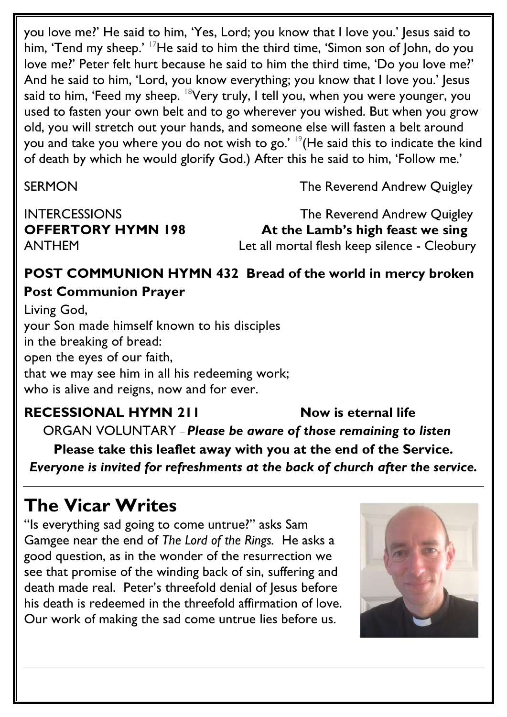you love me?' He said to him, 'Yes, Lord; you know that I love you.' Jesus said to him, 'Tend my sheep.'  $17$ He said to him the third time, 'Simon son of John, do you love me?' Peter felt hurt because he said to him the third time, 'Do you love me?' And he said to him, 'Lord, you know everything; you know that I love you.' Jesus said to him, 'Feed my sheep. <sup>18</sup>Very truly, I tell you, when you were younger, you used to fasten your own belt and to go wherever you wished. But when you grow old, you will stretch out your hands, and someone else will fasten a belt around you and take you where you do not wish to go.'  $\frac{19}{2}$  (He said this to indicate the kind of death by which he would glorify God.) After this he said to him, 'Follow me.'

SERMON GERMON The Reverend Andrew Quigley

INTERCESSIONS The Reverend Andrew Quigley **OFFERTORY HYMN 198 At the Lamb's high feast we sing** ANTHEM Let all mortal flesh keep silence - Cleobury

#### **POST COMMUNION HYMN 432 Bread of the world in mercy broken Post Communion Prayer**

Living God, your Son made himself known to his disciples in the breaking of bread: open the eyes of our faith, that we may see him in all his redeeming work; who is alive and reigns, now and for ever.

### **RECESSIONAL HYMN 211 Now is eternal life** ORGAN VOLUNTARY – *Please be aware of those remaining to listen* **Please take this leaflet away with you at the end of the Service.**  *Everyone is invited for refreshments at the back of church after the service.*

# **The Vicar Writes**

"Is everything sad going to come untrue?" asks Sam Gamgee near the end of *The Lord of the Rings.* He asks a good question, as in the wonder of the resurrection we see that promise of the winding back of sin, suffering and death made real. Peter's threefold denial of Jesus before his death is redeemed in the threefold affirmation of love. Our work of making the sad come untrue lies before us.

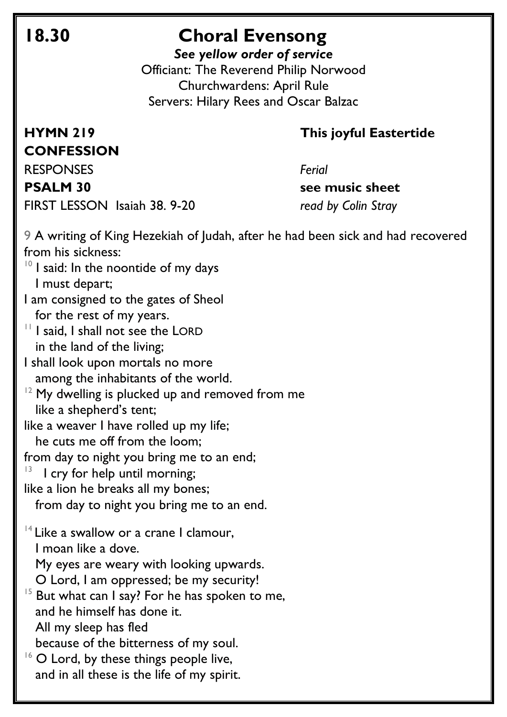## **18.30 Choral Evensong**

*See yellow order of service* Officiant: The Reverend Philip Norwood Churchwardens: April Rule Servers: Hilary Rees and Oscar Balzac

# **CONFESSION**

#### **HYMN 219 This joyful Eastertide**

RESPONSES *Ferial* **PSALM 30** see music sheet FIRST LESSON Isaiah 38. 9-20 *read by Colin Stray*

9 A writing of King Hezekiah of Judah, after he had been sick and had recovered from his sickness:  $10$  I said: In the noontide of my days I must depart; I am consigned to the gates of Sheol for the rest of my years. <sup>11</sup> I said, I shall not see the LORD in the land of the living; I shall look upon mortals no more among the inhabitants of the world.  $12$  My dwelling is plucked up and removed from me like a shepherd's tent; like a weaver I have rolled up my life; he cuts me off from the loom; from day to night you bring me to an end; 13 I cry for help until morning; like a lion he breaks all my bones; from day to night you bring me to an end. <sup>14</sup> Like a swallow or a crane I clamour, I moan like a dove. My eyes are weary with looking upwards. O Lord, I am oppressed; be my security! <sup>15</sup> But what can I say? For he has spoken to me, and he himself has done it. All my sleep has fled because of the bitterness of my soul.  $16$  O Lord, by these things people live, and in all these is the life of my spirit.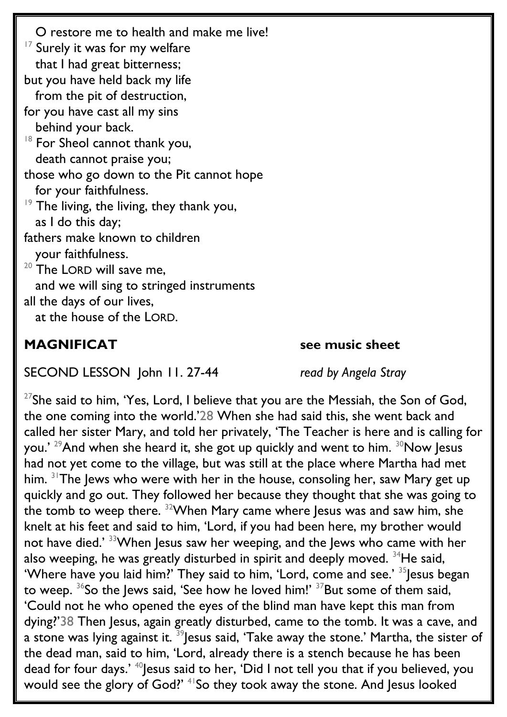O restore me to health and make me live!  $17$  Surely it was for my welfare that I had great bitterness; but you have held back my life from the pit of destruction, for you have cast all my sins behind your back. <sup>18</sup> For Sheol cannot thank you, death cannot praise you; those who go down to the Pit cannot hope for your faithfulness.  $19$  The living, the living, they thank you, as I do this day; fathers make known to children your faithfulness.  $20$  The LORD will save me, and we will sing to stringed instruments all the days of our lives, at the house of the LORD.

#### **MAGNIFICAT** see music sheet

SECOND LESSON John 11. 27-44 *read by Angela Stray*

 $27$ She said to him, 'Yes, Lord, I believe that you are the Messiah, the Son of God, the one coming into the world.'28 When she had said this, she went back and called her sister Mary, and told her privately, 'The Teacher is here and is calling for you.'  $29$ And when she heard it, she got up quickly and went to him.  $30$ Now Jesus had not yet come to the village, but was still at the place where Martha had met him. <sup>31</sup>The Jews who were with her in the house, consoling her, saw Mary get up quickly and go out. They followed her because they thought that she was going to the tomb to weep there. <sup>32</sup>When Mary came where Jesus was and saw him, she knelt at his feet and said to him, 'Lord, if you had been here, my brother would not have died.' <sup>33</sup>When Jesus saw her weeping, and the Jews who came with her also weeping, he was greatly disturbed in spirit and deeply moved.  $34$ He said, 'Where have you laid him?' They said to him, 'Lord, come and see.' <sup>35</sup> lesus began to weep.  $36$ So the Jews said, 'See how he loved him!'  $37$ But some of them said, 'Could not he who opened the eyes of the blind man have kept this man from dying?'38 Then Jesus, again greatly disturbed, came to the tomb. It was a cave, and a stone was lying against it.  $39$  lesus said, 'Take away the stone.' Martha, the sister of the dead man, said to him, 'Lord, already there is a stench because he has been dead for four days.' <sup>40</sup>Jesus said to her, 'Did I not tell you that if you believed, you would see the glory of God?' <sup>41</sup>So they took away the stone. And Jesus looked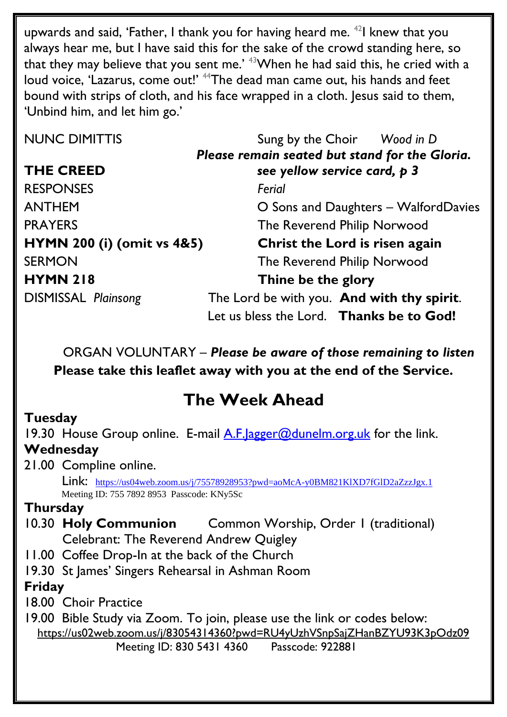upwards and said, 'Father, I thank you for having heard me.  $42$ I knew that you always hear me, but I have said this for the sake of the crowd standing here, so that they may believe that you sent me.' <sup>43</sup>When he had said this, he cried with a loud voice, 'Lazarus, come out!' <sup>44</sup>The dead man came out, his hands and feet bound with strips of cloth, and his face wrapped in a cloth. Jesus said to them, 'Unbind him, and let him go.'

| <b>NUNC DIMITTIS</b>                  | Sung by the Choir Wood in D                    |
|---------------------------------------|------------------------------------------------|
|                                       | Please remain seated but stand for the Gloria. |
| <b>THE CREED</b>                      | see yellow service card, p 3                   |
| <b>RESPONSES</b>                      | Ferial                                         |
| <b>ANTHEM</b>                         | O Sons and Daughters - WalfordDavies           |
| <b>PRAYERS</b>                        | The Reverend Philip Norwood                    |
| <b>HYMN 200 (i) (omit vs 4&amp;5)</b> | Christ the Lord is risen again                 |
| <b>SERMON</b>                         | The Reverend Philip Norwood                    |
| <b>HYMN 218</b>                       | Thine be the glory                             |
| <b>DISMISSAL Plainsong</b>            | The Lord be with you. And with thy spirit.     |
|                                       | Let us bless the Lord. Thanks be to God!       |

ORGAN VOLUNTARY – *Please be aware of those remaining to listen* **Please take this leaflet away with you at the end of the Service.** 

### **The Week Ahead**

#### **Tuesday**

19.30 House Group online. E-mail  $\overline{A}$ . F. lagger@dunelm.org.uk for the link. **Wednesday** 21.00 Compline online. Link: <https://us04web.zoom.us/j/75578928953?pwd=aoMcA-y0BM821KlXD7fGlD2aZzzJgx.1> Meeting ID: 755 7892 8953 Passcode: KNy5Sc **Thursday**  10.30 **Holy Communion** Common Worship, Order 1 (traditional)

Celebrant: The Reverend Andrew Quigley

- 11.00 Coffee Drop-In at the back of the Church
- 19.30 St James' Singers Rehearsal in Ashman Room

#### **Friday**

18.00 Choir Practice

19.00 Bible Study via Zoom. To join, please use the link or codes below: <https://us02web.zoom.us/j/83054314360?pwd=RU4yUzhVSnpSajZHanBZYU93K3pOdz09> Meeting ID: 830 5431 4360 Passcode: 922881